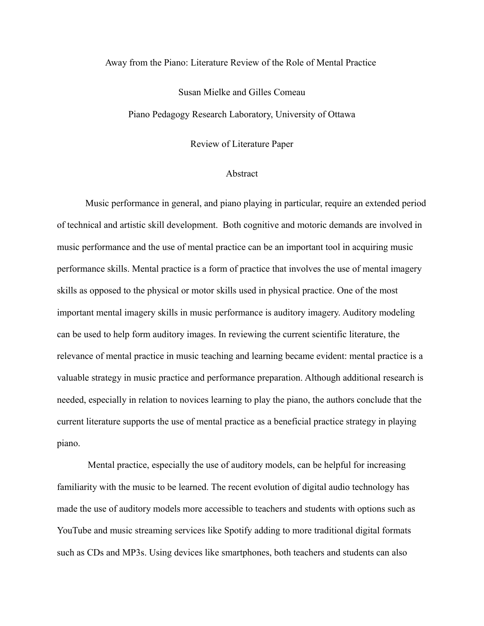## Away from the Piano: Literature Review of the Role of Mental Practice

## Susan Mielke and Gilles Comeau

Piano Pedagogy Research Laboratory, University of Ottawa

Review of Literature Paper

## Abstract

Music performance in general, and piano playing in particular, require an extended period of technical and artistic skill development. Both cognitive and motoric demands are involved in music performance and the use of mental practice can be an important tool in acquiring music performance skills. Mental practice is a form of practice that involves the use of mental imagery skills as opposed to the physical or motor skills used in physical practice. One of the most important mental imagery skills in music performance is auditory imagery. Auditory modeling can be used to help form auditory images. In reviewing the current scientific literature, the relevance of mental practice in music teaching and learning became evident: mental practice is a valuable strategy in music practice and performance preparation. Although additional research is needed, especially in relation to novices learning to play the piano, the authors conclude that the current literature supports the use of mental practice as a beneficial practice strategy in playing piano.

 Mental practice, especially the use of auditory models, can be helpful for increasing familiarity with the music to be learned. The recent evolution of digital audio technology has made the use of auditory models more accessible to teachers and students with options such as YouTube and music streaming services like Spotify adding to more traditional digital formats such as CDs and MP3s. Using devices like smartphones, both teachers and students can also